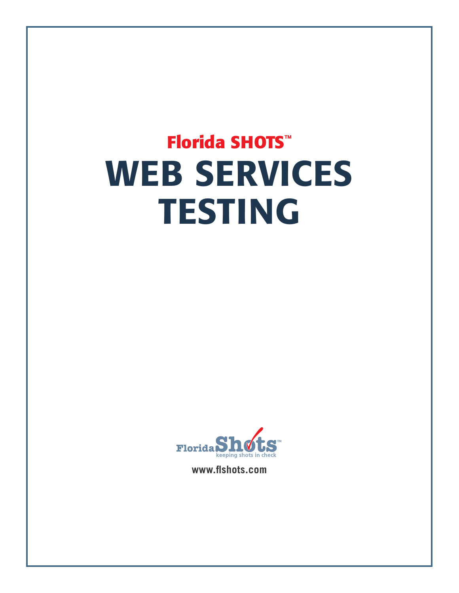# **Florida SHOTS™** WEB SERVICES TESTING



**www.flshots.com**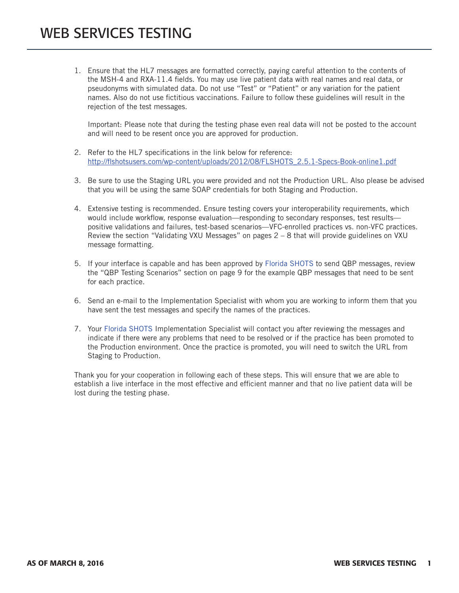1. Ensure that the HL7 messages are formatted correctly, paying careful attention to the contents of the MSH-4 and RXA-11.4 fields. You may use live patient data with real names and real data, or pseudonyms with simulated data. Do not use "Test" or "Patient" or any variation for the patient names. Also do not use fictitious vaccinations. Failure to follow these guidelines will result in the rejection of the test messages.

Important: Please note that during the testing phase even real data will not be posted to the account and will need to be resent once you are approved for production.

- 2. Refer to the HL7 specifications in the link below for reference: http://flshotsusers.com/wp-content/uploads/2012/08/FLSHOTS\_2.5.1-Specs-Book-online1.pdf
- 3. Be sure to use the Staging URL you were provided and not the Production URL. Also please be advised that you will be using the same SOAP credentials for both Staging and Production.
- 4. Extensive testing is recommended. Ensure testing covers your interoperability requirements, which would include workflow, response evaluation—responding to secondary responses, test results positive validations and failures, test-based scenarios—VFC-enrolled practices vs. non-VFC practices. Review the section "Validating VXU Messages" on pages  $2 - 8$  that will provide guidelines on VXU message formatting.
- 5. If your interface is capable and has been approved by Florida SHOTS to send QBP messages, review the "QBP Testing Scenarios" section on page 9 for the example QBP messages that need to be sent for each practice.
- 6. Send an e-mail to the Implementation Specialist with whom you are working to inform them that you have sent the test messages and specify the names of the practices.
- 7. Your Florida SHOTS Implementation Specialist will contact you after reviewing the messages and indicate if there were any problems that need to be resolved or if the practice has been promoted to the Production environment. Once the practice is promoted, you will need to switch the URL from Staging to Production.

Thank you for your cooperation in following each of these steps. This will ensure that we are able to establish a live interface in the most effective and efficient manner and that no live patient data will be lost during the testing phase.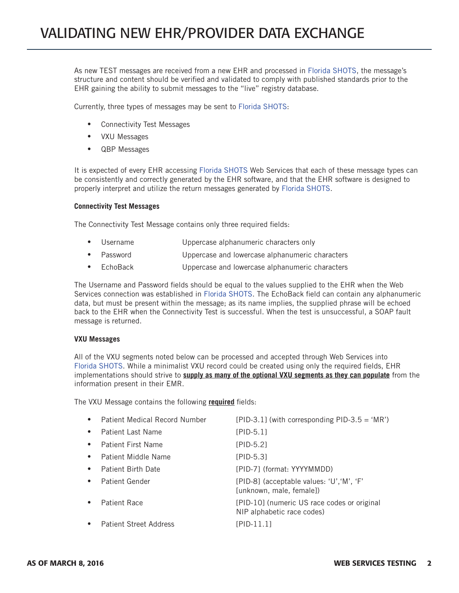As new TEST messages are received from a new EHR and processed in Florida SHOTS, the message's structure and content should be verified and validated to comply with published standards prior to the EHR gaining the ability to submit messages to the "live" registry database.

Currently, three types of messages may be sent to Florida SHOTS:

- Connectivity Test Messages
- VXU Messages
- • QBP Messages

It is expected of every EHR accessing Florida SHOTS Web Services that each of these message types can be consistently and correctly generated by the EHR software, and that the EHR software is designed to properly interpret and utilize the return messages generated by Florida SHOTS.

#### **Connectivity Test Messages**

The Connectivity Test Message contains only three required fields:

- Username Uppercase alphanumeric characters only
- Password Uppercase and lowercase alphanumeric characters
- EchoBack Uppercase and lowercase alphanumeric characters

The Username and Password fields should be equal to the values supplied to the EHR when the Web Services connection was established in Florida SHOTS. The EchoBack field can contain any alphanumeric data, but must be present within the message; as its name implies, the supplied phrase will be echoed back to the EHR when the Connectivity Test is successful. When the test is unsuccessful, a SOAP fault message is returned.

#### **VXU Messages**

All of the VXU segments noted below can be processed and accepted through Web Services into Florida SHOTS. While a minimalist VXU record could be created using only the required fields, EHR implementations should strive to **supply as many of the optional VXU segments as they can populate** from the information present in their EMR.

The VXU Message contains the following **required** fields:

| $\bullet$ | <b>Patient Medical Record Number</b> | [PID-3.1] (with corresponding PID-3.5 = 'MR')                             |
|-----------|--------------------------------------|---------------------------------------------------------------------------|
| $\bullet$ | Patient Last Name                    | $[PID-5.1]$                                                               |
| $\bullet$ | <b>Patient First Name</b>            | $[PID-5.2]$                                                               |
| $\bullet$ | Patient Middle Name                  | [PID-5.3]                                                                 |
| $\bullet$ | Patient Birth Date                   | [PID-7] (format: YYYYMMDD)                                                |
| $\bullet$ | <b>Patient Gender</b>                | [PID-8] (acceptable values: 'U', 'M', 'F'<br>[unknown, male, female])     |
|           | Patient Race                         | [PID-10] (numeric US race codes or original<br>NIP alphabetic race codes) |
|           | <b>Patient Street Address</b>        | $[PID-11.1]$                                                              |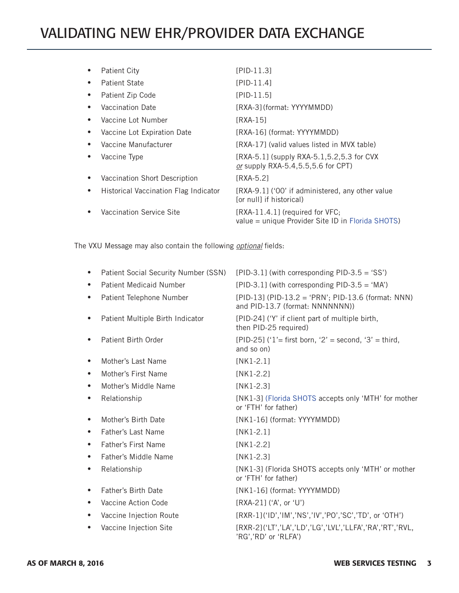## VALIDATING NEW EHR/PROVIDER DATA EXCHANGE

| <b>Patient City</b>                                | [PID-11.3]                                                                             |
|----------------------------------------------------|----------------------------------------------------------------------------------------|
| <b>Patient State</b>                               | $[PID-11.4]$                                                                           |
| Patient Zip Code                                   | [PID-11.5]                                                                             |
| Vaccination Date                                   | [RXA-3] (format: YYYYMMDD)                                                             |
| Vaccine Lot Number                                 | [RXA-15]                                                                               |
| Vaccine Lot Expiration Date                        | [RXA-16] (format: YYYYMMDD)                                                            |
| Vaccine Manufacturer                               | [RXA-17] (valid values listed in MVX table)                                            |
| Vaccine Type                                       | [RXA-5.1] (supply RXA-5.1, 5.2, 5.3 for CVX<br>or supply RXA-5.4, 5.5, 5.6 for CPT)    |
| Vaccination Short Description                      | [RXA-5.2]                                                                              |
| Historical Vaccination Flag Indicator<br>$\bullet$ | [RXA-9.1] ('00' if administered, any other value<br>[or null] if historical)           |
| Vaccination Service Site                           | $[RXA-11.4.1]$ (required for VFC;<br>value = unique Provider Site ID in Florida SHOTS) |
|                                                    |                                                                                        |

The VXU Message may also contain the following *optional* fields:

| ٠         | Patient Social Security Number (SSN) | [PID-3.1] (with corresponding PID-3.5 = 'SS')                                         |
|-----------|--------------------------------------|---------------------------------------------------------------------------------------|
| $\bullet$ | <b>Patient Medicaid Number</b>       | [PID-3.1] (with corresponding PID-3.5 = 'MA')                                         |
| ٠         | Patient Telephone Number             | [PID-13] (PID-13.2 = 'PRN'; PID-13.6 (format: NNN)<br>and PID-13.7 (format: NNNNNNN)) |
| ٠         | Patient Multiple Birth Indicator     | [PID-24] ('Y' if client part of multiple birth,<br>then PID-25 required)              |
|           | Patient Birth Order                  | [PID-25] ('1'= first born, '2' = second, '3' = third,<br>and so on)                   |
|           | Mother's Last Name                   | $[NK1-2.1]$                                                                           |
|           | Mother's First Name                  | $[NK1-2.2]$                                                                           |
| ٠         | Mother's Middle Name                 | $[NK1-2.3]$                                                                           |
| ٠         | Relationship                         | [NK1-3] (Florida SHOTS accepts only 'MTH' for mother<br>or 'FTH' for father)          |
|           | Mother's Birth Date                  | [NK1-16] (format: YYYYMMDD)                                                           |
| $\bullet$ | Father's Last Name                   | $[NK1-2.1]$                                                                           |
| $\bullet$ | <b>Father's First Name</b>           | $[NK1-2.2]$                                                                           |
| $\bullet$ | Father's Middle Name                 | $[NK1-2.3]$                                                                           |
| ٠         | Relationship                         | [NK1-3] (Florida SHOTS accepts only 'MTH' or mother<br>or 'FTH' for father)           |
| ٠         | <b>Father's Birth Date</b>           | [NK1-16] (format: YYYYMMDD)                                                           |
| $\bullet$ | Vaccine Action Code                  | [RXA-21] ('A', or 'U')                                                                |
| ٠         | Vaccine Injection Route              | [RXR-1]('ID','IM','NS','IV','PO','SC','TD', or 'OTH')                                 |
|           | Vaccine Injection Site               | [RXR-2]('LT','LA','LD','LG','LVL','LLFA','RA','RT','RVL,<br>'RG','RD' or 'RLFA')      |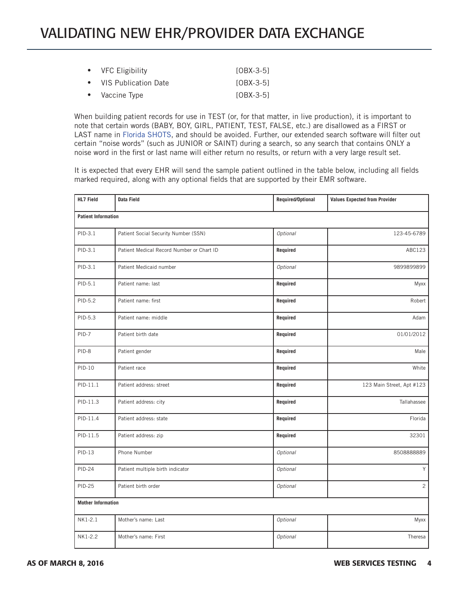### VALIDATING NEW EHR/PROVIDER DATA EXCHANGE

| • VFC Eligibility      | [OBX-3-5]   |
|------------------------|-------------|
| • VIS Publication Date | $[OBX-3-5]$ |
| • Vaccine Type         | [OBX-3-5]   |

When building patient records for use in TEST (or, for that matter, in live production), it is important to note that certain words (BABY, BOY, GIRL, PATIENT, TEST, FALSE, etc.) are disallowed as a FIRST or LAST name in Florida SHOTS, and should be avoided. Further, our extended search software will filter out certain "noise words" (such as JUNIOR or SAINT) during a search, so any search that contains ONLY a noise word in the first or last name will either return no results, or return with a very large result set.

It is expected that every EHR will send the sample patient outlined in the table below, including all fields marked required, along with any optional fields that are supported by their EMR software.

| <b>HL7 Field</b>           | Data Field                                | Required/Optional | <b>Values Expected from Provider</b> |
|----------------------------|-------------------------------------------|-------------------|--------------------------------------|
| <b>Patient Information</b> |                                           |                   |                                      |
| PID-3.1                    | Patient Social Security Number (SSN)      | <b>Optional</b>   | 123-45-6789                          |
| PID-3.1                    | Patient Medical Record Number or Chart ID | Required          | ABC123                               |
| PID-3.1                    | Patient Medicaid number                   | Optional          | 9899899899                           |
| PID-5.1                    | Patient name: last                        | Required          | Myxx                                 |
| PID-5.2                    | Patient name: first                       | Required          | Robert                               |
| PID-5.3                    | Patient name: middle                      | Required          | Adam                                 |
| PID-7                      | Patient birth date                        | Required          | 01/01/2012                           |
| PID-8                      | Patient gender                            | Required          | Male                                 |
| $PID-10$                   | Patient race                              | Required          | White                                |
| $PID-11.1$                 | Patient address: street                   | Required          | 123 Main Street, Apt #123            |
| PID-11.3                   | Patient address: city                     | Required          | Tallahassee                          |
| PID-11.4                   | Patient address: state                    | Required          | Florida                              |
| PID-11.5                   | Patient address: zip                      | Required          | 32301                                |
| $PID-13$                   | Phone Number                              | Optional          | 8508888889                           |
| <b>PID-24</b>              | Patient multiple birth indicator          | Optional          | Y                                    |
| <b>PID-25</b>              | Patient birth order                       | Optional          | $\overline{c}$                       |
| <b>Mother Information</b>  |                                           |                   |                                      |
| NK1-2.1                    | Mother's name: Last                       | Optional          | Myxx                                 |
| NK1-2.2                    | Mother's name: First                      | Optional          | Theresa                              |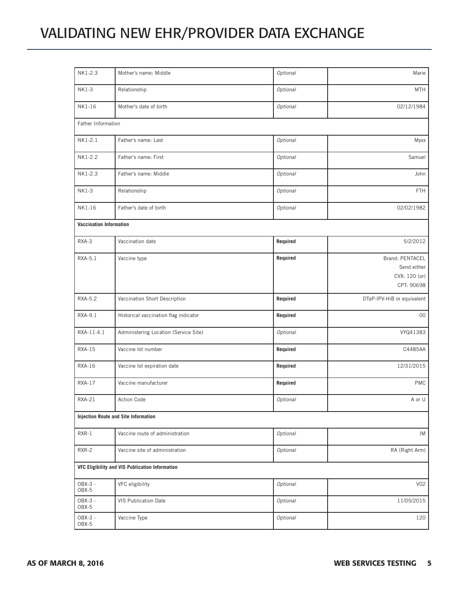## VALIDATING NEW EHR/PROVIDER DATA EXCHANGE

| NK1-2.3                        | Mother's name: Middle                           | Optional        | Marie                                                         |
|--------------------------------|-------------------------------------------------|-----------------|---------------------------------------------------------------|
| NK1-3                          | Relationship                                    | Optional        | <b>MTH</b>                                                    |
| NK1-16                         | Mother's date of birth                          | Optional        | 02/12/1984                                                    |
| Father Information             |                                                 |                 |                                                               |
| NK1-2.1                        | Father's name: Last                             | Optional        | Myxx                                                          |
| NK1-2.2                        | Father's name: First                            | <b>Optional</b> | Samuel                                                        |
| NK1-2.3                        | Father's name: Middle                           | Optional        | John                                                          |
| NK1-3                          | Relationship                                    | Optional        | <b>FTH</b>                                                    |
| NK1-16                         | Father's date of birth                          | Optional        | 02/02/1982                                                    |
| <b>Vaccination Information</b> |                                                 |                 |                                                               |
| RXA-3                          | Vaccination date                                | Required        | 5/2/2012                                                      |
| RXA-5.1                        | Vaccine type                                    | Required        | Brand: PENTACEL<br>Send either<br>CVX: 120 (or)<br>CPT: 90698 |
| RXA-5.2                        | Vaccination Short Description                   | Required        | DTaP-IPV-HiB or equivalent                                    |
| RXA-9.1                        | Historical vaccination flag indicator           | Required        | $00\,$                                                        |
| RXA-11.4.1                     | Administering Location (Service Site)           | Optional        | VYQ41383                                                      |
| <b>RXA-15</b>                  | Vaccine lot number                              | Required        | C4485AA                                                       |
| <b>RXA-16</b>                  | Vaccine lot expiration date                     | Required        | 12/31/2015                                                    |
| <b>RXA-17</b>                  | Vaccine manufacturer                            | Required        | <b>PMC</b>                                                    |
| <b>RXA-21</b>                  | Action Code                                     | Optional        | A or U                                                        |
|                                | <b>Injection Route and Site Information</b>     |                 |                                                               |
| RXR-1                          | Vaccine route of administration                 | Optional        | IM                                                            |
| RXR-2                          | Vaccine site of administration                  | Optional        | RA (Right Arm)                                                |
|                                | VFC Eligibility and VIS Publication Information |                 |                                                               |
| OBX-3 -<br>OBX-5               | VFC eligibility                                 | Optional        | <b>V02</b>                                                    |
| OBX-3 -<br>OBX-5               | VIS Publication Date                            | Optional        | 11/05/2015                                                    |
| OBX-3 -<br>OBX-5               | Vaccine Type                                    | Optional        | 120                                                           |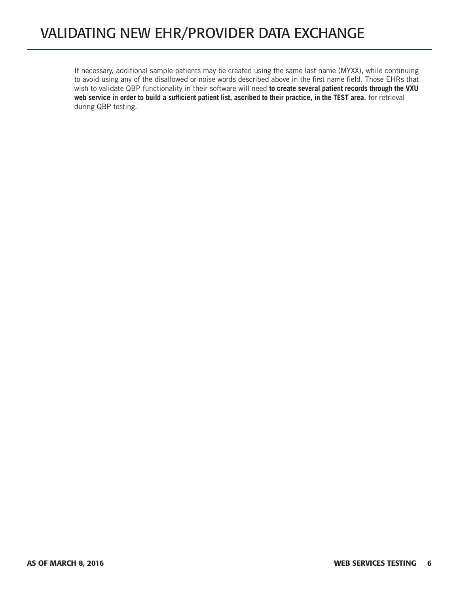If necessary, additional sample patients may be created using the same last name (MYXX), while continuing to avoid using any of the disallowed or noise words described above in the first name field. Those EHRs that wish to validate QBP functionality in their software will need **to create several patient records through the VXU web service in order to build a sufficient patient list, ascribed to their practice, in the TEST area**, for retrieval during QBP testing.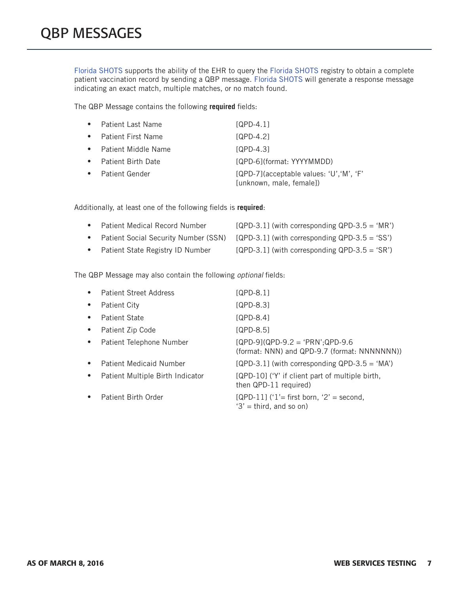Florida SHOTS supports the ability of the EHR to query the Florida SHOTS registry to obtain a complete patient vaccination record by sending a QBP message. Florida SHOTS will generate a response message indicating an exact match, multiple matches, or no match found.

The QBP Message contains the following **required** fields:

|           | <b>Patient Last Name</b>   | [QPD-4.1]                                                               |
|-----------|----------------------------|-------------------------------------------------------------------------|
|           | <b>Patient First Name</b>  | $[QPD-4.2]$                                                             |
| $\bullet$ | <b>Patient Middle Name</b> | [QPD-4.3]                                                               |
|           | <b>Patient Birth Date</b>  | [QPD-6](format: YYYYMMDD)                                               |
|           | <b>Patient Gender</b>      | $[QPD-7]$ (acceptable values: 'U', 'M', 'F'<br>[unknown, male, female]) |

Additionally, at least one of the following fields is **required**:

| • Patient Medical Record Number    | $[QPD-3.1]$ (with corresponding $QPD-3.5 = 'MR'$ )                                   |
|------------------------------------|--------------------------------------------------------------------------------------|
|                                    | • Patient Social Security Number (SSN) [QPD-3.1] (with corresponding QPD-3.5 = 'SS') |
| • Patient State Registry ID Number | $[QPD-3.1]$ (with corresponding $QPD-3.5 = 'SR'$ )                                   |

The QBP Message may also contain the following *optional* fields:

|           | <b>Patient Street Address</b>    | $[QPD-8.1]$                                                                        |
|-----------|----------------------------------|------------------------------------------------------------------------------------|
| $\bullet$ | Patient City                     | <b>SQPD-8.31</b>                                                                   |
| $\bullet$ | Patient State                    | $[QPD-8.4]$                                                                        |
| $\bullet$ | Patient Zip Code                 | $[QPD-8.5]$                                                                        |
| $\bullet$ | Patient Telephone Number         | $[QPD-9](QPD-9.2 = 'PRN';QPD-9.6)$<br>(format: NNN) and QPD-9.7 (format: NNNNNNN)) |
| $\bullet$ | <b>Patient Medicaid Number</b>   | $[QPD-3.1]$ (with corresponding $QPD-3.5 = 'MA'$ )                                 |
| $\bullet$ | Patient Multiple Birth Indicator | [QPD-10] ('Y' if client part of multiple birth,<br>then QPD-11 required)           |
| $\bullet$ | Patient Birth Order              | $[QPD-11]$ ('1'= first born, '2' = second,<br>$3'$ = third, and so on)             |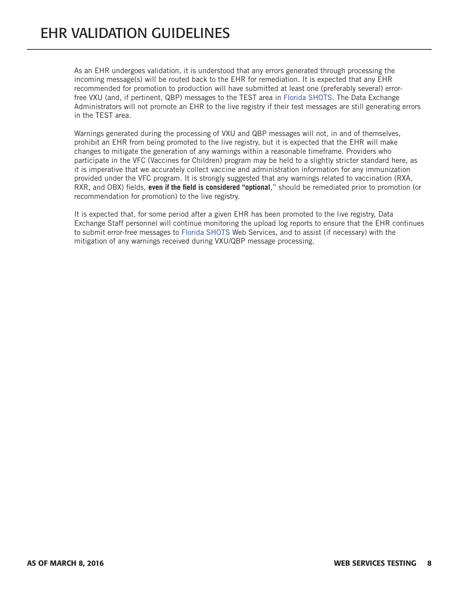As an EHR undergoes validation, it is understood that any errors generated through processing the incoming message(s) will be routed back to the EHR for remediation. It is expected that any EHR recommended for promotion to production will have submitted at least one (preferably several) errorfree VXU (and, if pertinent, QBP) messages to the TEST area in Florida SHOTS. The Data Exchange Administrators will not promote an EHR to the live registry if their test messages are still generating errors in the TEST area.

Warnings generated during the processing of VXU and QBP messages will not, in and of themselves, prohibit an EHR from being promoted to the live registry, but it is expected that the EHR will make changes to mitigate the generation of any warnings within a reasonable timeframe. Providers who participate in the VFC (Vaccines for Children) program may be held to a slightly stricter standard here, as it is imperative that we accurately collect vaccine and administration information for any immunization provided under the VFC program. It is strongly suggested that any warnings related to vaccination (RXA, RXR, and OBX) fields, **even if the field is considered "optional**," should be remediated prior to promotion (or recommendation for promotion) to the live registry.

It is expected that, for some period after a given EHR has been promoted to the live registry, Data Exchange Staff personnel will continue monitoring the upload log reports to ensure that the EHR continues to submit error-free messages to Florida SHOTS Web Services, and to assist (if necessary) with the mitigation of any warnings received during VXU/QBP message processing.